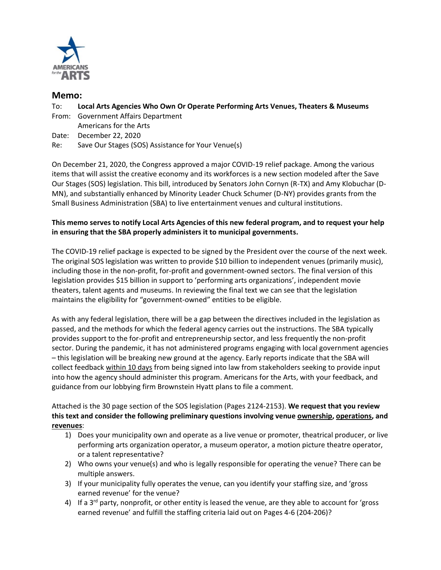

## **Memo:**

- To: **Local Arts Agencies Who Own Or Operate Performing Arts Venues, Theaters & Museums**
- From: Government Affairs Department Americans for the Arts
- Date: December 22, 2020
- Re: Save Our Stages (SOS) Assistance for Your Venue(s)

On December 21, 2020, the Congress approved a major COVID-19 relief package. Among the various items that will assist the creative economy and its workforces is a new section modeled after the Save Our Stages (SOS) legislation. This bill, introduced by Senators John Cornyn (R-TX) and Amy Klobuchar (D-MN), and substantially enhanced by Minority Leader Chuck Schumer (D-NY) provides grants from the Small Business Administration (SBA) to live entertainment venues and cultural institutions.

## **This memo serves to notify Local Arts Agencies of this new federal program, and to request your help in ensuring that the SBA properly administers it to municipal governments.**

The COVID-19 relief package is expected to be signed by the President over the course of the next week. The original SOS legislation was written to provide \$10 billion to independent venues (primarily music), including those in the non-profit, for-profit and government-owned sectors. The final version of this legislation provides \$15 billion in support to 'performing arts organizations', independent movie theaters, talent agents and museums. In reviewing the final text we can see that the legislation maintains the eligibility for "government-owned" entities to be eligible.

As with any federal legislation, there will be a gap between the directives included in the legislation as passed, and the methods for which the federal agency carries out the instructions. The SBA typically provides support to the for-profit and entrepreneurship sector, and less frequently the non-profit sector. During the pandemic, it has not administered programs engaging with local government agencies – this legislation will be breaking new ground at the agency. Early reports indicate that the SBA will collect feedback within 10 days from being signed into law from stakeholders seeking to provide input into how the agency should administer this program. Americans for the Arts, with your feedback, and guidance from our lobbying firm Brownstein Hyatt plans to file a comment.

Attached is the 30 page section of the SOS legislation (Pages 2124-2153). **We request that you review this text and consider the following preliminary questions involving venue ownership, operations, and revenues**:

- 1) Does your municipality own and operate as a live venue or promoter, theatrical producer, or live performing arts organization operator, a museum operator, a motion picture theatre operator, or a talent representative?
- 2) Who owns your venue(s) and who is legally responsible for operating the venue? There can be multiple answers.
- 3) If your municipality fully operates the venue, can you identify your staffing size, and 'gross earned revenue' for the venue?
- 4) If a 3<sup>rd</sup> party, nonprofit, or other entity is leased the venue, are they able to account for 'gross earned revenue' and fulfill the staffing criteria laid out on Pages 4-6 (204-206)?